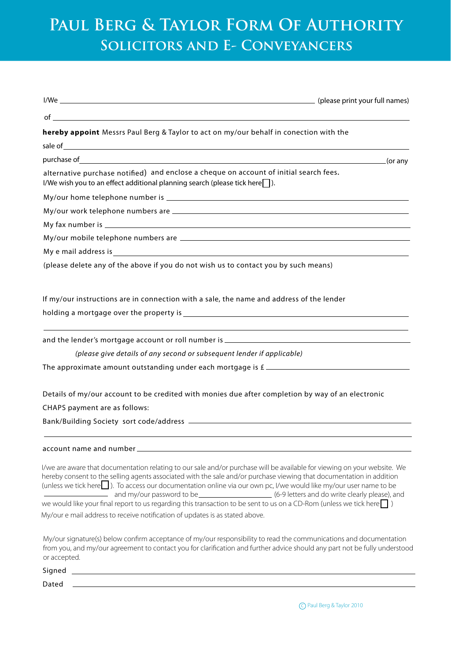## **Paul Berg & Taylor Form Of Authority Solicitors and E- Conveyancers**

| $of$ $\overline{\phantom{a}}$                                                                                                                                                                                                                                                                                                                                         |
|-----------------------------------------------------------------------------------------------------------------------------------------------------------------------------------------------------------------------------------------------------------------------------------------------------------------------------------------------------------------------|
| hereby appoint Messrs Paul Berg & Taylor to act on my/our behalf in conection with the                                                                                                                                                                                                                                                                                |
| sale of which is a sale of which is a sale of which is a sale of which is a sale of which is a sale of which is a sale of which is a sale of which is a sale of which is a sale of which is a sale of which is a sale of which                                                                                                                                        |
|                                                                                                                                                                                                                                                                                                                                                                       |
| alternative purchase notified) and enclose a cheque on account of initial search fees.<br>I/We wish you to an effect additional planning search (please tick here  ).                                                                                                                                                                                                 |
|                                                                                                                                                                                                                                                                                                                                                                       |
|                                                                                                                                                                                                                                                                                                                                                                       |
|                                                                                                                                                                                                                                                                                                                                                                       |
|                                                                                                                                                                                                                                                                                                                                                                       |
|                                                                                                                                                                                                                                                                                                                                                                       |
| (please delete any of the above if you do not wish us to contact you by such means)                                                                                                                                                                                                                                                                                   |
|                                                                                                                                                                                                                                                                                                                                                                       |
| If my/our instructions are in connection with a sale, the name and address of the lender                                                                                                                                                                                                                                                                              |
|                                                                                                                                                                                                                                                                                                                                                                       |
|                                                                                                                                                                                                                                                                                                                                                                       |
|                                                                                                                                                                                                                                                                                                                                                                       |
| (please give details of any second or subsequent lender if applicable)                                                                                                                                                                                                                                                                                                |
|                                                                                                                                                                                                                                                                                                                                                                       |
|                                                                                                                                                                                                                                                                                                                                                                       |
| Details of my/our account to be credited with monies due after completion by way of an electronic                                                                                                                                                                                                                                                                     |
| CHAPS payment are as follows:                                                                                                                                                                                                                                                                                                                                         |
|                                                                                                                                                                                                                                                                                                                                                                       |
|                                                                                                                                                                                                                                                                                                                                                                       |
|                                                                                                                                                                                                                                                                                                                                                                       |
| I/we are aware that documentation relating to our sale and/or purchase will be available for viewing on your website. We<br>hereby consent to the selling agents associated with the sale and/or purchase viewing that documentation in addition<br>(unless we tick here□). To access our documentation online via our own pc, I/we would like my/our user name to be |
| we would like your final report to us regarding this transaction to be sent to us on a CD-Rom (unless we tick here $\Box$ )<br>My/our e mail address to receive notification of updates is as stated above.                                                                                                                                                           |

My/our signature(s) below confirm acceptance of my/our responsibility to read the communications and documentation from you, and my/our agreement to contact you for clarification and further advice should any part not be fully understood or accepted.

Signed \_\_\_\_\_\_

Dated \_\_\_